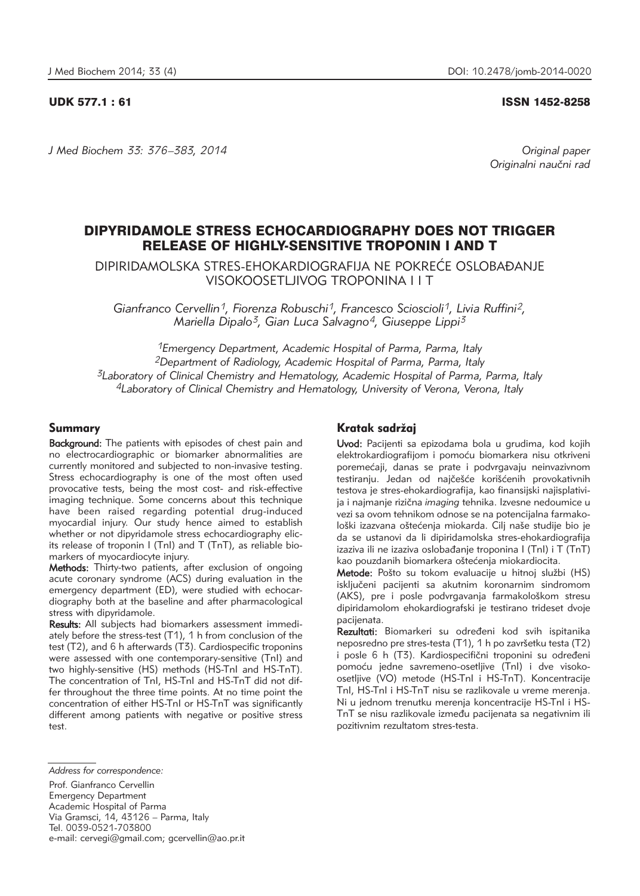UDK 577.1 : 61 ISSN 1452-8258

*J Med Biochem 33: 376–383, 2014 Original paper*

Originalni naučni rad

# DIPYRIDAMOLE STRESS ECHOCARDIOGRAPHY DOES NOT TRIGGER RELEASE OF HIGHLY-SENSITIVE TROPONIN I AND T

DIPIRIDAMOLSKA STRES-EHOKARDIOGRAFIJA NE POKREĆE OSLOBAĐANJE VISOKOOSETLJIVOG TROPONINA I I T

*Gianfranco Cervellin1, Fiorenza Robuschi1, Francesco Scioscioli1, Livia Ruffini2, Mariella Dipalo3, Gian Luca Salvagno4, Giuseppe Lippi3*

*1Emergency Department, Academic Hospital of Parma, Parma, Italy 2Department of Radiology, Academic Hospital of Parma, Parma, Italy 3Laboratory of Clinical Chemistry and Hematology, Academic Hospital of Parma, Parma, Italy 4Laboratory of Clinical Chemistry and Hematology, University of Verona, Verona, Italy*

# Summary

Background: The patients with episodes of chest pain and no electrocardiographic or biomarker abnormalities are currently monitored and subjected to non-invasive testing. Stress echocardiography is one of the most often used provocative tests, being the most cost- and risk-effective imaging technique. Some concerns about this technique have been raised regarding potential drug-induced myocardial injury. Our study hence aimed to establish whether or not dipyridamole stress echocardiography elicits release of troponin I (TnI) and T (TnT), as reliable biomarkers of myocardiocyte injury.

Methods: Thirty-two patients, after exclusion of ongoing acute coronary syndrome (ACS) during evaluation in the emergency department (ED), were studied with echocardiography both at the baseline and after pharmacological stress with dipyridamole.

Results: All subjects had biomarkers assessment immediately before the stress-test (T1), 1 h from conclusion of the test (T2), and 6 h afterwards (T3). Cardiospecific troponins were assessed with one contemporary-sensitive (TnI) and two highly-sensitive (HS) methods (HS-TnI and HS-TnT). The concentration of TnI, HS-TnI and HS-TnT did not differ throughout the three time points. At no time point the concentration of either HS-TnI or HS-TnT was significantly different among patients with negative or positive stress test.

# Kratak sadržaj

Uvod: Pacijenti sa epizodama bola u grudima, kod kojih elektrokardiografijom i pomoću biomarkera nisu otkriveni poremećaji, danas se prate i podvrgavaju neinvazivnom testiranju. Jedan od najčešće korišćenih provokativnih testova je stres-ehokardiografija, kao finansijski najisplativija i najmanje rizična *imaging* tehnika. Izvesne nedoumice u vezi sa ovom tehnikom odnose se na potencijalna farmakološki izazvana oštećenja miokarda. Cilj naše studije bio je da se ustanovi da li dipiridamolska stres-ehokardiografija izaziva ili ne izaziva oslobađanje troponina I (TnI) i T (TnT) kao pouzdanih biomarkera oštećenja miokardiocita.

Metode: Pošto su tokom evaluacije u hitnoj službi (HS) isključeni pacijenti sa akutnim koronarnim sindromom (AKS), pre i posle podvrgavanja farmakološkom stresu dipiridamolom ehokardiografski je testirano trideset dvoje pacijenata.

Rezultati: Biomarkeri su određeni kod svih ispitanika neposredno pre stres-testa (T1), 1 h po završetku testa (T2) i posle 6 h (T3). Kardiospecifični troponini su određeni pomoću jedne savremeno-osetljive (Tnl) i dve visokoosetljive (VO) metode (HS-TnI i HS-TnT). Koncentracije TnI, HS-TnI i HS-TnT nisu se razlikovale u vreme merenja. Ni u jednom trenutku merenja koncentracije HS-TnI i HS-TnT se nisu razlikovale između pacijenata sa negativnim ili pozitivnim rezultatom stres-testa.

*Address for correspondence:* Prof. Gianfranco Cervellin Emergency Department Academic Hospital of Parma Via Gramsci, 14, 43126 – Parma, Italy Tel. 0039-0521-703800 e-mail: cervegi@gmail.com; gcervellin@ao.pr.it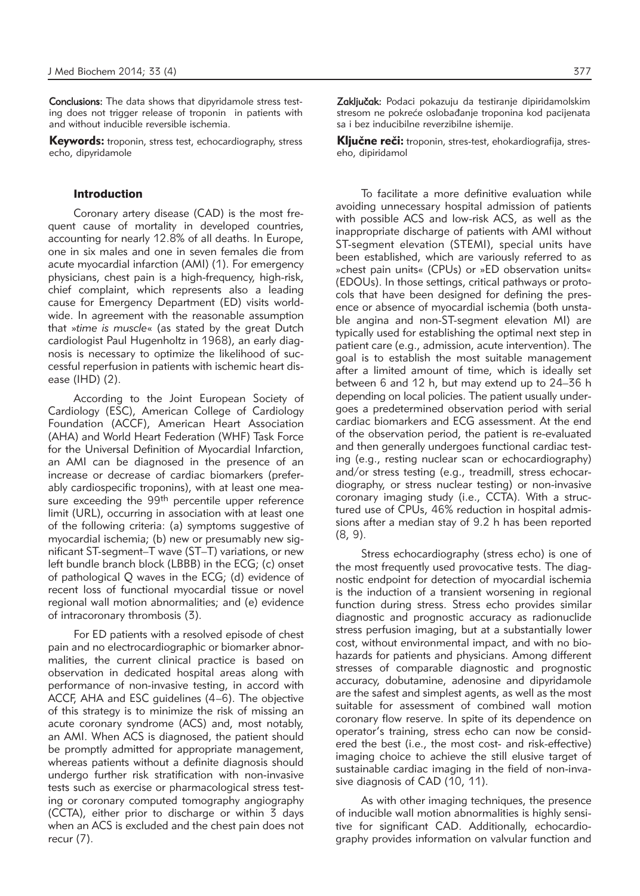Conclusions: The data shows that dipyridamole stress testing does not trigger release of troponin in patients with and without inducible reversible ischemia.

**Keywords:** troponin, stress test, echocardiography, stress echo, dipyridamole

# Introduction

Coronary artery disease (CAD) is the most frequent cause of mortality in developed countries, accounting for nearly 12.8% of all deaths. In Europe, one in six males and one in seven females die from acute myocardial infarction (AMI) (1). For emergency physicians, chest pain is a high-frequency, high-risk, chief complaint, which represents also a leading cause for Emergency Department (ED) visits worldwide. In agreement with the reasonable assumption that »*time is muscle*« (as stated by the great Dutch cardiologist Paul Hugenholtz in 1968), an early diagnosis is necessary to optimize the likelihood of successful reperfusion in patients with ischemic heart disease (IHD) (2).

According to the Joint European Society of Cardiology (ESC), American College of Cardiology Foundation (ACCF), American Heart Association (AHA) and World Heart Federation (WHF) Task Force for the Universal Definition of Myocardial Infarction, an AMI can be diagnosed in the presence of an increase or decrease of cardiac biomarkers (preferably cardiospecific troponins), with at least one measure exceeding the 99<sup>th</sup> percentile upper reference limit (URL), occurring in association with at least one of the following criteria: (a) symptoms suggestive of myocardial ischemia; (b) new or presumably new significant ST-segment–T wave (ST–T) variations, or new left bundle branch block (LBBB) in the ECG; (c) onset of pathological Q waves in the ECG; (d) evidence of recent loss of functional myocardial tissue or novel regional wall motion abnormalities; and (e) evidence of intracoronary thrombosis (3).

For ED patients with a resolved episode of chest pain and no electrocardiographic or biomarker abnormalities, the current clinical practice is based on observation in dedicated hospital areas along with performance of non-invasive testing, in accord with ACCF, AHA and ESC guidelines (4–6). The objective of this strategy is to minimize the risk of missing an acute coronary syndrome (ACS) and, most notably, an AMI. When ACS is diagnosed, the patient should be promptly admitted for appropriate management, whereas patients without a definite diagnosis should undergo further risk stratification with non-invasive tests such as exercise or pharmacological stress testing or coronary computed tomography angiography (CCTA), either prior to discharge or within 3 days when an ACS is excluded and the chest pain does not recur (7).

Zaključak: Podaci pokazuju da testiranje dipiridamolskim stresom ne pokreće oslobađanje troponina kod pacijenata sa i bez inducibilne reverzibilne ishemije.

Kliučne reči: troponin, stres-test, ehokardiografija, streseho, dipiridamol

To facilitate a more definitive evaluation while avoiding unnecessary hospital admission of patients with possible ACS and low-risk ACS, as well as the inappropriate discharge of patients with AMI without ST-segment elevation (STEMI), special units have been established, which are variously referred to as »chest pain units« (CPUs) or »ED observation units« (EDOUs). In those settings, critical pathways or protocols that have been designed for defining the presence or absence of myocardial ischemia (both unstable angina and non-ST-segment elevation MI) are typically used for establishing the optimal next step in patient care (e.g., admission, acute intervention). The goal is to establish the most suitable management after a limited amount of time, which is ideally set between 6 and 12 h, but may extend up to 24–36 h depending on local policies. The patient usually under goes a predetermined observation period with serial cardiac biomarkers and ECG assessment. At the end of the observation period, the patient is re-evaluated and then generally undergoes functional cardiac testing (e.g., resting nuclear scan or echocardiography) and/or stress testing (e.g., treadmill, stress echocardiography, or stress nuclear testing) or non-invasive coronary imaging study (i.e., CCTA). With a structured use of CPUs, 46% reduction in hospital admissions after a median stay of 9.2 h has been reported (8, 9).

Stress echocardiography (stress echo) is one of the most frequently used provocative tests. The diagnostic endpoint for detection of myocardial ischemia is the induction of a transient worsening in regional function during stress. Stress echo provides similar diagnostic and prognostic accuracy as radionuclide stress perfusion imaging, but at a substantially lower cost, without environmental impact, and with no biohazards for patients and physicians. Among different stresses of comparable diagnostic and prognostic accuracy, dobutamine, adenosine and dipyridamole are the safest and simplest agents, as well as the most suitable for assessment of combined wall motion coronary flow reserve. In spite of its dependence on operator's training, stress echo can now be considered the best (i.e., the most cost- and risk-effective) imaging choice to achieve the still elusive target of sustainable cardiac imaging in the field of non-invasive diagnosis of CAD (10, 11).

As with other imaging techniques, the presence of inducible wall motion abnormalities is highly sensitive for significant CAD. Additionally, echocardiography provides information on valvular function and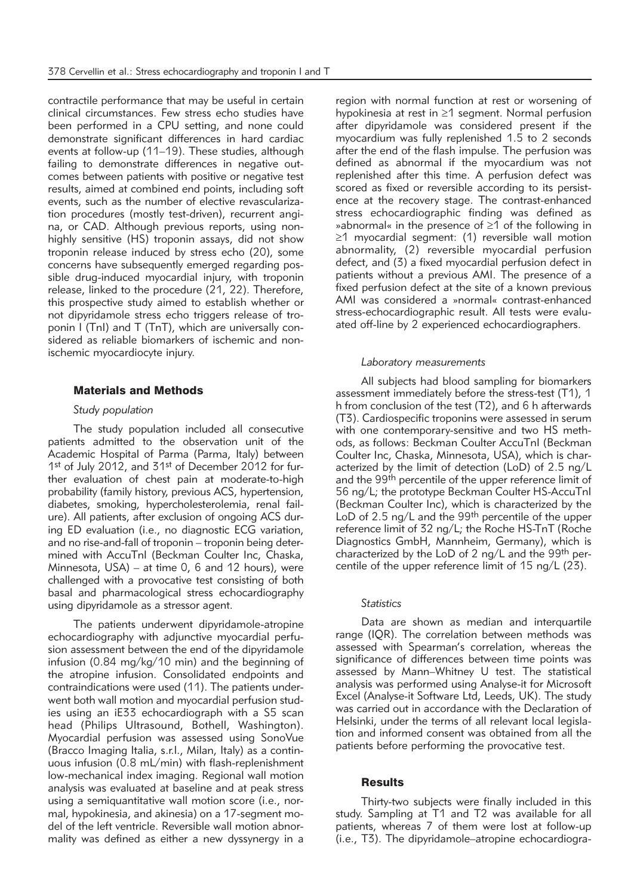contractile performance that may be useful in certain clinical circumstances. Few stress echo studies have been performed in a CPU setting, and none could demonstrate significant differences in hard cardiac events at follow-up (11–19). These studies, although failing to demonstrate differences in negative outcomes between patients with positive or negative test results, aimed at combined end points, including soft events, such as the number of elective revascularization procedures (mostly test-driven), recurrent angina, or CAD. Although previous reports, using nonhighly sensitive (HS) troponin assays, did not show troponin release induced by stress echo (20), some concerns have subsequently emerged regarding possible drug-induced myocardial injury, with troponin release, linked to the procedure (21, 22). Therefore, this prospective study aimed to establish whether or not dipyridamole stress echo triggers release of troponin I (TnI) and T (TnT), which are universally considered as reliable biomarkers of ischemic and nonischemic myocardiocyte injury.

#### Materials and Methods

#### *Study population*

The study population included all consecutive patients admitted to the observation unit of the Academic Hospital of Parma (Parma, Italy) between 1st of July 2012, and 31st of December 2012 for further evaluation of chest pain at moderate-to-high probability (family history, previous ACS, hypertension, diabetes, smoking, hypercholesterolemia, renal failure). All patients, after exclusion of ongoing ACS during ED evaluation (i.e., no diagnostic ECG variation, and no rise-and-fall of troponin – troponin being determined with AccuTnI (Beckman Coulter Inc, Chaska, Minnesota, USA) – at time 0, 6 and 12 hours), were challenged with a provocative test consisting of both basal and pharmacological stress echocardiography using dipyridamole as a stressor agent.

The patients underwent dipyridamole-atropine echocardiography with adjunctive myocardial perfusion assessment between the end of the dipyridamole infusion (0.84 mg/kg/10 min) and the beginning of the atropine infusion. Consolidated endpoints and contraindications were used (11). The patients underwent both wall motion and myocardial perfusion studies using an iE33 echocardiograph with a S5 scan head (Philips Ultrasound, Bothell, Washington). Myocardial perfusion was assessed using SonoVue (Bracco Imaging Italia, s.r.l., Milan, Italy) as a continuous infusion (0.8 mL/min) with flash-replenishment low-mechanical index imaging. Regional wall motion analysis was evaluated at baseline and at peak stress using a semiquantitative wall motion score (i.e., normal, hypokinesia, and akinesia) on a 17-segment model of the left ventricle. Reversible wall motion abnormality was defined as either a new dyssynergy in a

region with normal function at rest or worsening of hypokinesia at rest in ≥1 segment. Normal perfusion after dipyridamole was considered present if the myocardium was fully replenished 1.5 to 2 seconds after the end of the flash impulse. The perfusion was defined as abnormal if the myocardium was not replenished after this time. A perfusion defect was scored as fixed or reversible according to its persistence at the recovery stage. The contrast-enhanced stress echocardiographic finding was defined as »abnormal« in the presence of ≥1 of the following in ≥1 myocardial segment: (1) reversible wall motion abnormality, (2) reversible myocardial perfusion defect, and (3) a fixed myocardial perfusion defect in patients without a previous AMI. The presence of a fixed perfusion defect at the site of a known previous AMI was considered a »normal« contrast-enhanced stress-echocardiographic result. All tests were evaluated off-line by 2 experienced echocardiographers.

#### *Laboratory measurements*

All subjects had blood sampling for biomarkers assessment immediately before the stress-test (T1), 1 h from conclusion of the test (T2), and 6 h afterwards (T3). Cardiospecific troponins were assessed in serum with one contemporary-sensitive and two HS methods, as follows: Beckman Coulter AccuTnI (Beckman Coulter Inc, Chaska, Minnesota, USA), which is characterized by the limit of detection (LoD) of 2.5 ng/L and the 99<sup>th</sup> percentile of the upper reference limit of 56 ng/L; the prototype Beckman Coulter HS-AccuTnI (Beckman Coulter Inc), which is characterized by the LoD of 2.5 ng/L and the 99<sup>th</sup> percentile of the upper reference limit of 32 ng/L; the Roche HS-TnT (Roche Diagnostics GmbH, Mannheim, Germany), which is characterized by the LoD of 2 ng/L and the 99th percentile of the upper reference limit of  $15 \text{ ng/L}$  (23).

# *Statistics*

Data are shown as median and interquartile range (IQR). The correlation between methods was assessed with Spearman's correlation, whereas the significance of differences between time points was assessed by Mann–Whitney U test. The statistical analysis was performed using Analyse-it for Microsoft Excel (Analyse-it Software Ltd, Leeds, UK). The study was carried out in accordance with the Declaration of Helsinki, under the terms of all relevant local legislation and informed consent was obtained from all the patients before performing the provocative test.

#### **Results**

Thirty-two subjects were finally included in this study. Sampling at T1 and T2 was available for all patients, whereas 7 of them were lost at follow-up (i.e., T3). The dipyridamole–atropine echocardiogra-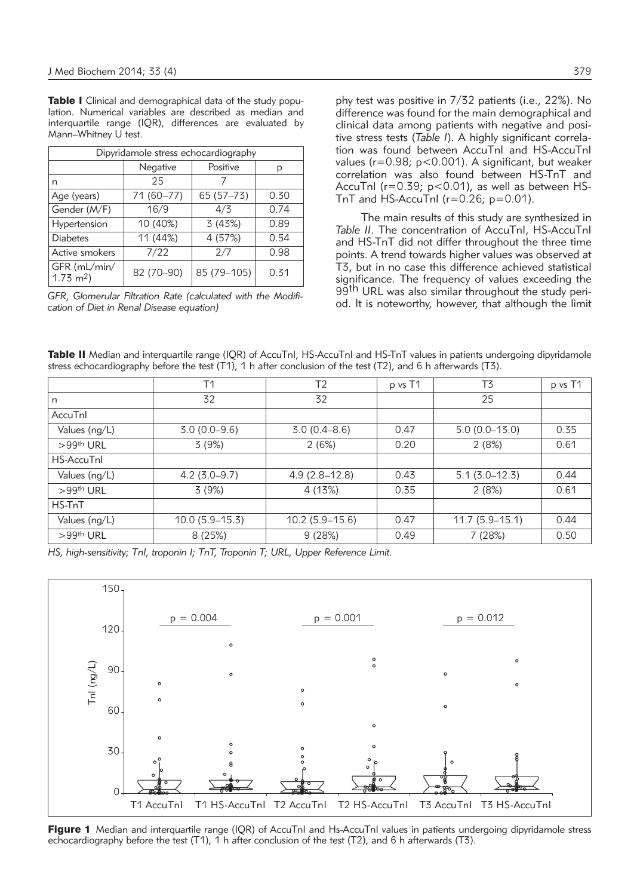| Dipyridamole stress echocardiography |            |             |      |  |  |  |
|--------------------------------------|------------|-------------|------|--|--|--|
|                                      | Negative   | Positive    | р    |  |  |  |
| n                                    | 25         |             |      |  |  |  |
| Age (years)                          | 71 (60-77) | 65 (57-73)  | 0.30 |  |  |  |
| Gender (M/F)                         | 16/9       | 4/3         | 0.74 |  |  |  |
| Hypertension                         | 10 (40%)   | 3(43%)      | 0.89 |  |  |  |
| <b>Diabetes</b>                      | 11 (44%)   | 4 (57%)     | 0.54 |  |  |  |
| Active smokers                       | 7/22       | 2/7         | 0.98 |  |  |  |
| GFR (mL/min/<br>$1.73 \text{ m}^2$ ) | 82 (70-90) | 85 (79-105) | 0.31 |  |  |  |

Table I Clinical and demographical data of the study population. Numerical variables are described as median and interquartile range (IQR), differences are evaluated by Mann–Whitney U test.

*GFR, Glomerular Filtration Rate (calculated with the Modifi cation of Diet in Renal Disease equation)*

phy test was positive in 7/32 patients (i.e., 22%). No difference was found for the main demographical and clinical data among patients with negative and positive stress tests (*Table I*). A highly significant correlation was found between AccuTnI and HS-AccuTnI values (r=0.98; p<0.001). A significant, but weaker correlation was also found between HS-TnT and AccuTnI (r=0.39; p<0.01), as well as between HS-TnT and HS-AccuTnI ( $r=0.26$ ;  $p=0.01$ ).

The main results of this study are synthesized in *Table II*. The concentration of AccuTnI, HS-AccuTnI and HS-TnT did not differ throughout the three time points. A trend towards higher values was observed at T3, but in no case this difference achieved statistical significance. The frequency of values exceeding the 99<sup>th</sup> URL was also similar throughout the study period. It is noteworthy, however, that although the limit

Table II Median and interquartile range (IQR) of AccuTnI, HS-AccuTnI and HS-TnT values in patients undergoing dipyridamole stress echocardiography before the test (T1), 1 h after conclusion of the test (T2), and 6 h afterwards (T3).

|               | T1                 | T <sub>2</sub>     | p vs T1 | T <sub>3</sub>   | p vs T1 |
|---------------|--------------------|--------------------|---------|------------------|---------|
| n             | 32                 | 32                 |         | 25               |         |
| AccuTnl       |                    |                    |         |                  |         |
| Values (ng/L) | $3.0(0.0-9.6)$     | $3.0(0.4 - 8.6)$   | 0.47    | $5.0(0.0-13.0)$  | 0.35    |
| $>99th$ URL   | 3(9%)              | 2(6%)              | 0.20    | 2(8%)            | 0.61    |
| HS-AccuTnl    |                    |                    |         |                  |         |
| Values (ng/L) | $4.2(3.0-9.7)$     | $4.9(2.8-12.8)$    | 0.43    | $5.1(3.0-12.3)$  | 0.44    |
| >99th URL     | 3(9%)              | 4 (13%)            | 0.35    | 2(8%)            | 0.61    |
| HS-TnT        |                    |                    |         |                  |         |
| Values (ng/L) | $10.0(5.9 - 15.3)$ | $10.2(5.9 - 15.6)$ | 0.47    | $11.7(5.9-15.1)$ | 0.44    |
| $>99th$ URL   | 8(25%)             | 9(28%)             | 0.49    | 7(28%)           | 0.50    |

*HS, high-sensitivity; TnI, troponin I; TnT, Troponin T; URL, Upper Reference Limit.*



Figure 1 Median and interquartile range (IQR) of AccuTnI and Hs-AccuTnI values in patients undergoing dipyridamole stress echocardiography before the test (T1), 1 h after conclusion of the test (T2), and 6 h afterwards (T3).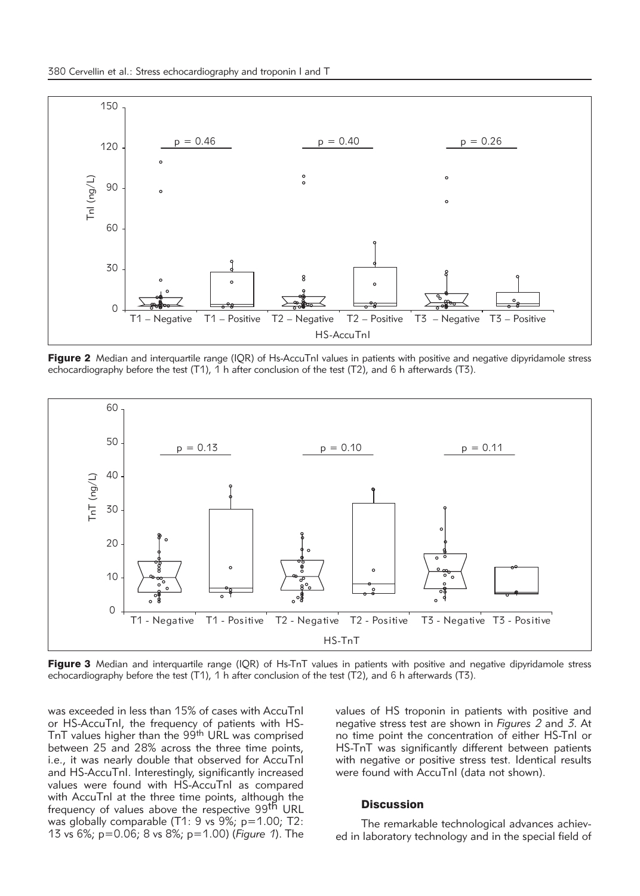

Figure 2 Median and interquartile range (IOR) of Hs-AccuTnI values in patients with positive and negative dipyridamole stress echocardiography before the test (T1), 1 h after conclusion of the test (T2), and 6 h afterwards (T3).



Figure 3 Median and interquartile range (IQR) of Hs-TnT values in patients with positive and negative dipyridamole stress echocardiography before the test (T1), 1 h after conclusion of the test (T2), and 6 h afterwards (T3).

was exceeded in less than 15% of cases with AccuTnI or HS-AccuTnI, the frequency of patients with HS-TnT values higher than the 99<sup>th</sup> URL was comprised between 25 and 28% across the three time points, i.e., it was nearly double that observed for AccuTnI and HS-AccuTnI. Interestingly, significantly increased values were found with HS-AccuTnI as compared with AccuTnI at the three time points, although the frequency of values above the respective 99<sup>th</sup> URL was globally comparable (T1: 9 vs 9%; p=1.00; T2: 13 vs 6%; p=0.06; 8 vs 8%; p=1.00) (*Figure 1*). The values of HS troponin in patients with positive and negative stress test are shown in *Figures 2* and *3*. At no time point the concentration of either HS-TnI or HS-TnT was significantly different between patients with negative or positive stress test. Identical results were found with AccuTnI (data not shown).

# **Discussion**

The remarkable technological advances achieved in laboratory technology and in the special field of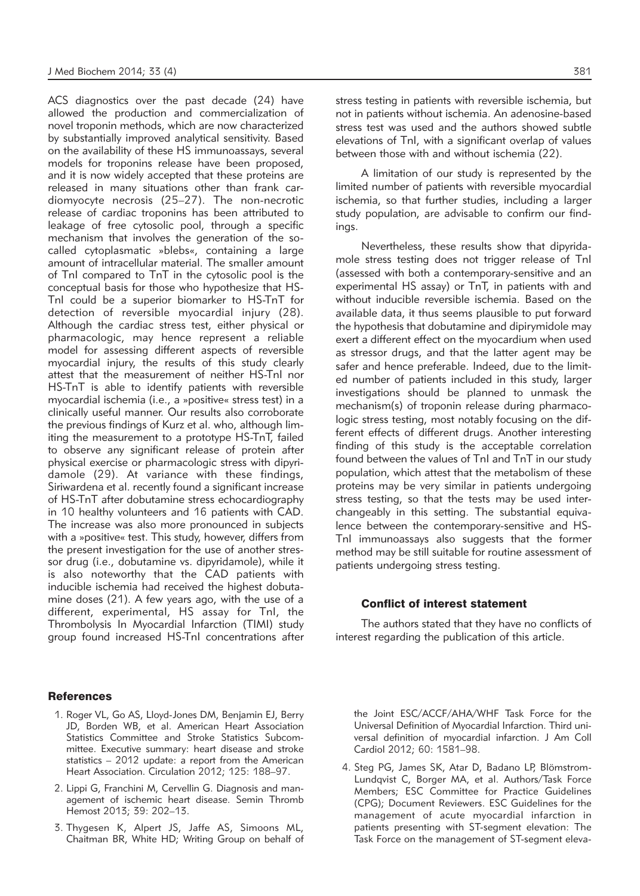ACS diagnostics over the past decade (24) have allowed the production and commercialization of novel troponin methods, which are now characterized by substantially improved analytical sensitivity. Based on the availability of these HS immunoassays, several models for troponins release have been proposed, and it is now widely accepted that these proteins are released in many situations other than frank cardiomyocyte necrosis (25–27). The non-necrotic release of cardiac troponins has been attributed to leakage of free cytosolic pool, through a specific mechanism that involves the generation of the socalled cytoplasmatic »blebs«, containing a large amount of intracellular material. The smaller amount of TnI compared to TnT in the cytosolic pool is the conceptual basis for those who hypothesize that HS-TnI could be a superior biomarker to HS-TnT for detection of reversible myocardial injury (28). Although the cardiac stress test, either physical or pharmacologic, may hence represent a reliable model for assessing different aspects of reversible myocardial injury, the results of this study clearly attest that the measurement of neither HS-TnI nor HS-TnT is able to identify patients with reversible myocardial ischemia (i.e., a »positive« stress test) in a clinically useful manner. Our results also corroborate the previous findings of Kurz et al. who, although limiting the measurement to a prototype HS-TnT, failed to observe any significant release of protein after physical exercise or pharmacologic stress with dipyridamole (29). At variance with these findings, Siriwardena et al. recently found a significant increase of HS-TnT after dobutamine stress echocardiography in 10 healthy volunteers and 16 patients with CAD. The increase was also more pronounced in subjects with a »positive« test. This study, however, differs from the present investigation for the use of another stressor drug (i.e., dobutamine vs. dipyridamole), while it is also noteworthy that the CAD patients with inducible ischemia had received the highest dobutamine doses (21). A few years ago, with the use of a different, experimental, HS assay for TnI, the Thrombolysis In Myocardial Infarction (TIMI) study group found increased HS-TnI concentrations after

### **References**

- 1. Roger VL, Go AS, Lloyd-Jones DM, Benjamin EJ, Berry JD, Borden WB, et al. American Heart Association Statistics Committee and Stroke Statistics Subcommittee. Executive summary: heart disease and stroke statistics – 2012 update: a report from the American Heart Association. Circulation 2012; 125: 188–97.
- 2. Lippi G, Franchini M, Cervellin G. Diagnosis and management of ischemic heart disease. Semin Thromb Hemost 2013; 39: 202–13.
- 3. Thygesen K, Alpert JS, Jaffe AS, Simoons ML, Chaitman BR, White HD; Writing Group on behalf of

stress testing in patients with reversible ischemia, but not in patients without ischemia. An adenosine-based stress test was used and the authors showed subtle elevations of TnI, with a significant overlap of values between those with and without ischemia (22).

A limitation of our study is represented by the limited number of patients with reversible myocardial ischemia, so that further studies, including a larger study population, are advisable to confirm our findings.

Nevertheless, these results show that dipyridamole stress testing does not trigger release of TnI (assessed with both a contemporary-sensitive and an experimental HS assay) or TnT, in patients with and without inducible reversible ischemia. Based on the available data, it thus seems plausible to put forward the hypothesis that dobutamine and dipirymidole may exert a different effect on the myocardium when used as stressor drugs, and that the latter agent may be safer and hence preferable. Indeed, due to the limited number of patients included in this study, larger investigations should be planned to unmask the mechanism(s) of troponin release during pharmacologic stress testing, most notably focusing on the different effects of different drugs. Another interesting finding of this study is the acceptable correlation found between the values of TnI and TnT in our study population, which attest that the metabolism of these proteins may be very similar in patients undergoing stress testing, so that the tests may be used interchangeably in this setting. The substantial equivalence between the contemporary-sensitive and HS-TnI immunoassays also suggests that the former method may be still suitable for routine assessment of patients undergoing stress testing.

## Conflict of interest statement

The authors stated that they have no conflicts of interest regarding the publication of this article.

the Joint ESC/ACCF/AHA/WHF Task Force for the Universal Definition of Myocardial Infarction. Third universal definition of myocardial infarction. J Am Coll Cardiol 2012; 60: 1581–98.

4. Steg PG, James SK, Atar D, Badano LP, Blömstrom-Lundqvist C, Borger MA, et al. Authors/Task Force Members; ESC Committee for Practice Guidelines (CPG); Document Reviewers. ESC Guidelines for the management of acute myocardial infarction in patients presenting with ST-segment elevation: The Task Force on the management of ST-segment eleva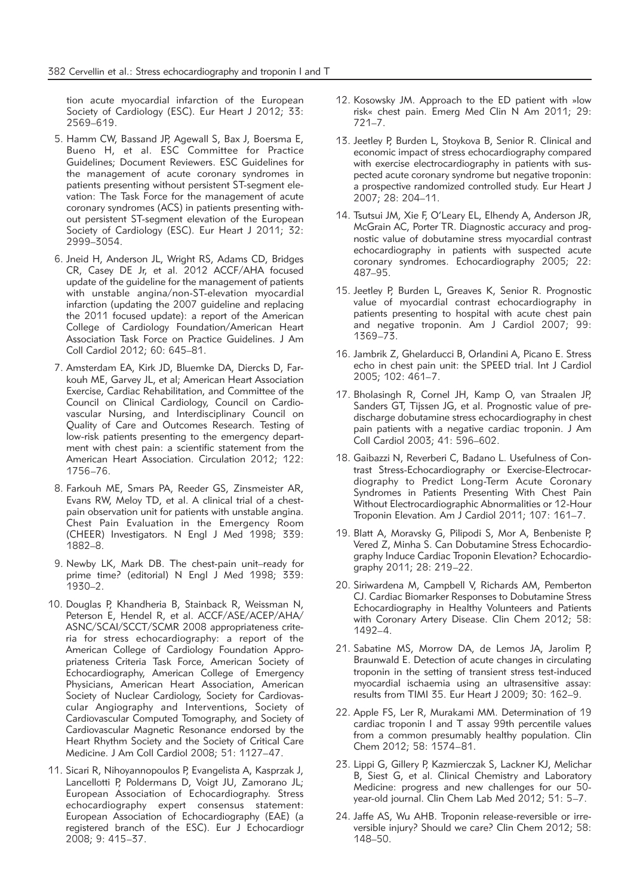tion acute myocardial infarction of the European Society of Cardiology (ESC). Eur Heart J 2012; 33: 2569–619.

- 5. Hamm CW, Bassand JP, Agewall S, Bax J, Boersma E, Bueno H, et al. ESC Committee for Practice Guidelines; Document Reviewers. ESC Guidelines for the management of acute coronary syndromes in patients presenting without persistent ST-segment elevation: The Task Force for the management of acute coronary syndromes (ACS) in patients presenting without persistent ST-segment elevation of the European Society of Cardiology (ESC). Eur Heart J 2011; 32: 2999–3054.
- 6. Jneid H, Anderson JL, Wright RS, Adams CD, Bridges CR, Casey DE Jr, et al. 2012 ACCF/AHA focused update of the guideline for the management of patients with unstable angina/non-ST-elevation myocardial infarction (updating the 2007 guideline and replacing the 2011 focused update): a report of the American College of Cardiology Foundation/American Heart Association Task Force on Practice Guidelines. J Am Coll Cardiol 2012; 60: 645–81.
- 7. Amsterdam EA, Kirk JD, Bluemke DA, Diercks D, Farkouh ME, Garvey JL, et al; American Heart Association Exercise, Cardiac Rehabilitation, and Committee of the Council on Clinical Cardiology, Council on Cardiovascular Nursing, and Interdisciplinary Council on Quality of Care and Outcomes Research. Testing of low-risk patients presenting to the emergency department with chest pain: a scientific statement from the American Heart Association. Circulation 2012; 122: 1756–76.
- 8. Farkouh ME, Smars PA, Reeder GS, Zinsmeister AR, Evans RW, Meloy TD, et al. A clinical trial of a chestpain observation unit for patients with unstable angina. Chest Pain Evaluation in the Emergency Room (CHEER) Investigators. N Engl J Med 1998; 339: 1882–8.
- 9. Newby LK, Mark DB. The chest-pain unit–ready for prime time? (editorial) N Engl J Med 1998; 339: 1930–2.
- 10. Douglas P, Khandheria B, Stainback R, Weissman N, Peterson E, Hendel R, et al. ACCF/ASE/ACEP/AHA/ ASNC/SCAI/SCCT/SCMR 2008 appropriateness criteria for stress echocardiography: a report of the American College of Cardiology Foundation Appropriateness Criteria Task Force, American Society of Echocardiography, American College of Emergency Physicians, American Heart Association, American Society of Nuclear Cardiology, Society for Cardiovascular Angiography and Interventions, Society of Cardiovascular Computed Tomography, and Society of Cardiovascular Magnetic Resonance endorsed by the Heart Rhythm Society and the Society of Critical Care Medicine. J Am Coll Cardiol 2008; 51: 1127–47.
- 11. Sicari R, Nihoyannopoulos P, Evangelista A, Kasprzak J, Lancellotti P, Poldermans D, Voigt JU, Zamorano JL; European Association of Echocardiography. Stress echocardiography expert consensus statement: European Association of Echocardiography (EAE) (a registered branch of the ESC). Eur J Echocardiogr 2008; 9: 415–37.
- 12. Kosowsky JM. Approach to the ED patient with »low risk« chest pain. Emerg Med Clin N Am 2011; 29: 721–7.
- 13. Jeetley P, Burden L, Stoykova B, Senior R. Clinical and economic impact of stress echocardiography compared with exercise electrocardiography in patients with suspected acute coronary syndrome but negative troponin: a prospective randomized controlled study. Eur Heart J 2007; 28: 204–11.
- 14. Tsutsui JM, Xie F, O'Leary EL, Elhendy A, Anderson JR, McGrain AC, Porter TR. Diagnostic accuracy and prognostic value of dobutamine stress myocardial contrast echocardiography in patients with suspected acute coronary syndromes. Echocardiography 2005; 22: 487–95.
- 15. Jeetley P, Burden L, Greaves K, Senior R. Prognostic value of myocardial contrast echocardiography in patients presenting to hospital with acute chest pain and negative troponin. Am J Cardiol 2007; 99: 1369–73.
- 16. Jambrik Z, Ghelarducci B, Orlandini A, Picano E. Stress echo in chest pain unit: the SPEED trial. Int J Cardiol 2005; 102: 461–7.
- 17. Bholasingh R, Cornel JH, Kamp O, van Straalen JP, Sanders GT, Tijssen JG, et al. Prognostic value of predischarge dobutamine stress echocardiography in chest pain patients with a negative cardiac troponin. J Am Coll Cardiol 2003; 41: 596–602.
- 18. Gaibazzi N, Reverberi C, Badano L. Usefulness of Contrast Stress-Echocardiography or Exercise-Electrocar dio graphy to Predict Long-Term Acute Coronary Syndromes in Patients Presenting With Chest Pain Without Electrocardiographic Abnormalities or 12-Hour Troponin Elevation. Am J Cardiol 2011; 107: 161–7.
- 19. Blatt A, Moravsky G, Pilipodi S, Mor A, Benbeniste P, Vered Z, Minha S. Can Dobutamine Stress Echocardiography Induce Cardiac Troponin Elevation? Echocardiography 2011; 28: 219–22.
- 20. Siriwardena M, Campbell V, Richards AM, Pemberton CJ. Cardiac Biomarker Responses to Dobutamine Stress Echocardiography in Healthy Volunteers and Patients with Coronary Artery Disease. Clin Chem 2012; 58: 1492–4.
- 21. Sabatine MS, Morrow DA, de Lemos JA, Jarolim P, Braunwald E. Detection of acute changes in circulating troponin in the setting of transient stress test-induced myocardial ischaemia using an ultrasensitive assay: results from TIMI 35. Eur Heart J 2009; 30: 162–9.
- 22. Apple FS, Ler R, Murakami MM. Determination of 19 cardiac troponin I and T assay 99th percentile values from a common presumably healthy population. Clin Chem 2012; 58: 1574–81.
- 23. Lippi G, Gillery P, Kazmierczak S, Lackner KJ, Melichar B, Siest G, et al. Clinical Chemistry and Laboratory Medicine: progress and new challenges for our 50 year-old journal. Clin Chem Lab Med 2012; 51: 5–7.
- 24. Jaffe AS, Wu AHB. Troponin release-reversible or irreversible injury? Should we care? Clin Chem 2012; 58: 148–50.